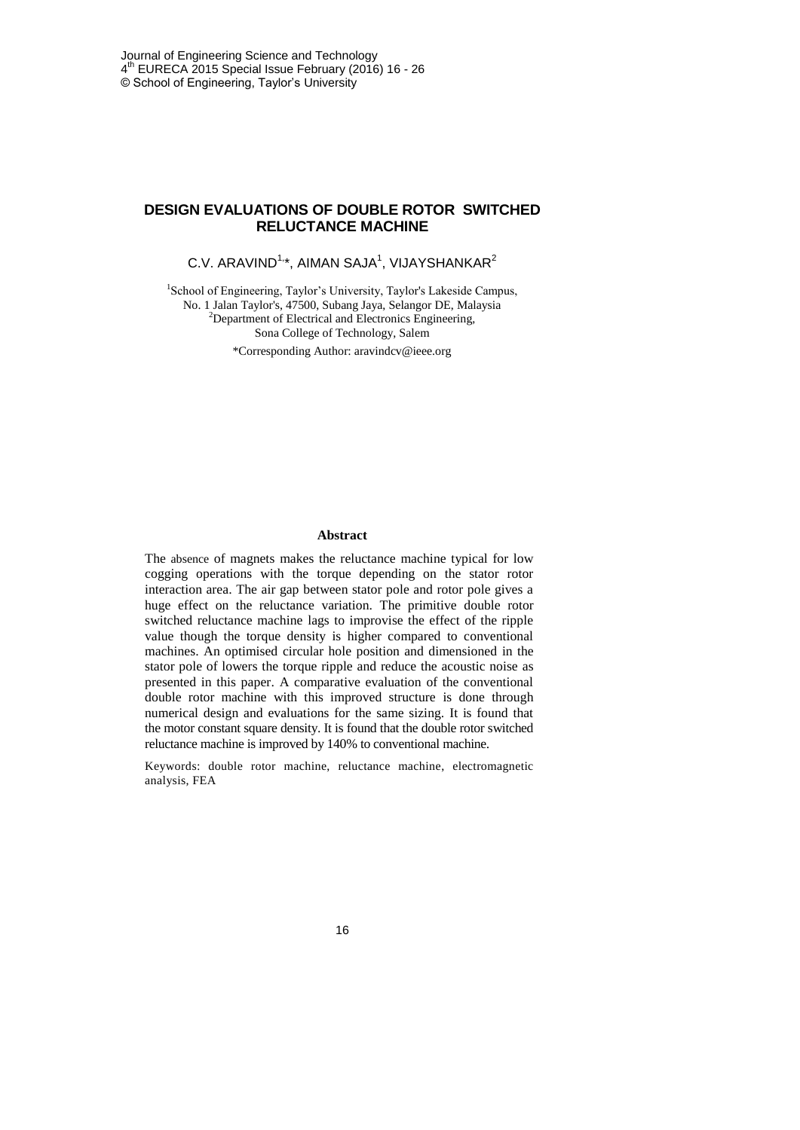## **DESIGN EVALUATIONS OF DOUBLE ROTOR SWITCHED RELUCTANCE MACHINE**

# C.V. ARAVIND $1, *$ , AIMAN SAJA $1,$  VIJAYSHANKAR $2$

<sup>1</sup>School of Engineering, Taylor's University, Taylor's Lakeside Campus, No. 1 Jalan Taylor's, 47500, Subang Jaya, Selangor DE, Malaysia <sup>2</sup>Department of Electrical and Electronics Engineering, Sona College of Technology, Salem

\*Corresponding Author: aravindcv@ieee.org

#### **Abstract**

The absence of magnets makes the reluctance machine typical for low cogging operations with the torque depending on the stator rotor interaction area. The air gap between stator pole and rotor pole gives a huge effect on the reluctance variation. The primitive double rotor switched reluctance machine lags to improvise the effect of the ripple value though the torque density is higher compared to conventional machines. An optimised circular hole position and dimensioned in the stator pole of lowers the torque ripple and reduce the acoustic noise as presented in this paper. A comparative evaluation of the conventional double rotor machine with this improved structure is done through numerical design and evaluations for the same sizing. It is found that the motor constant square density. It is found that the double rotor switched reluctance machine is improved by 140% to conventional machine.

Keywords: double rotor machine, reluctance machine, electromagnetic analysis, FEA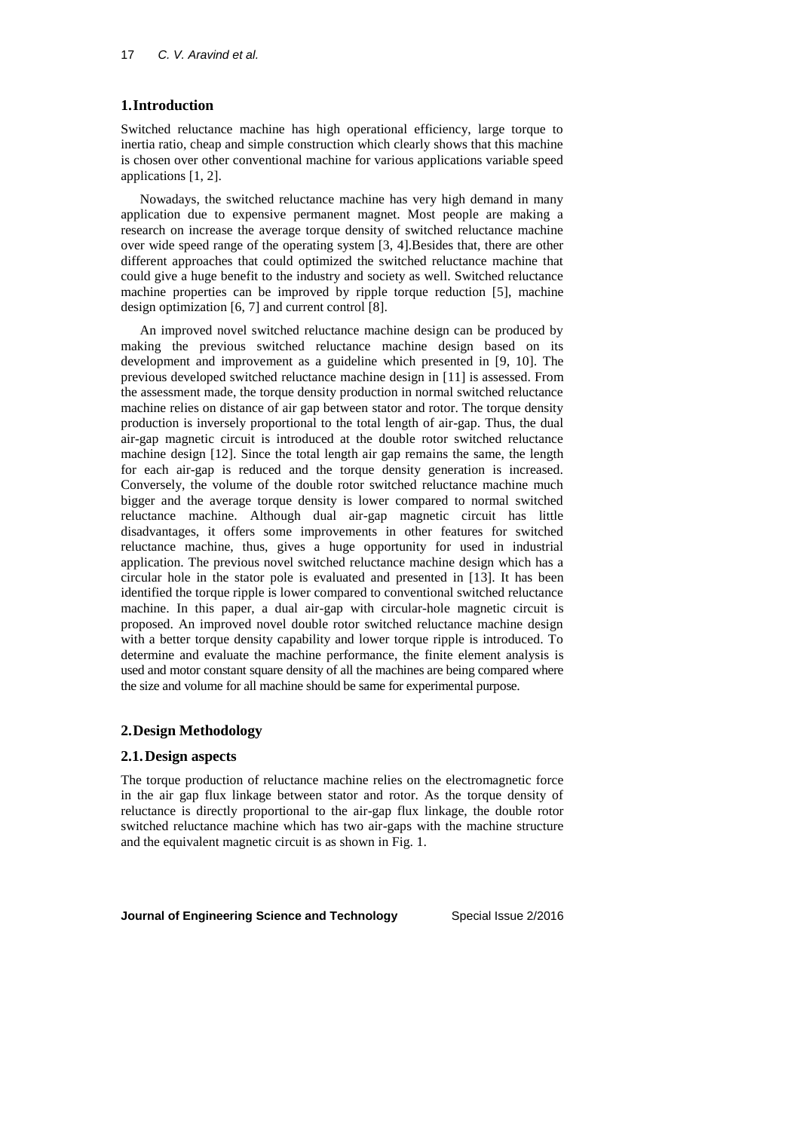# **1.Introduction**

Switched reluctance machine has high operational efficiency, large torque to inertia ratio, cheap and simple construction which clearly shows that this machine is chosen over other conventional machine for various applications variable speed applications [1, 2].

Nowadays, the switched reluctance machine has very high demand in many application due to expensive permanent magnet. Most people are making a research on increase the average torque density of switched reluctance machine over wide speed range of the operating system [3, 4].Besides that, there are other different approaches that could optimized the switched reluctance machine that could give a huge benefit to the industry and society as well. Switched reluctance machine properties can be improved by ripple torque reduction [5], machine design optimization [6, 7] and current control [8].

An improved novel switched reluctance machine design can be produced by making the previous switched reluctance machine design based on its development and improvement as a guideline which presented in [9, 10]. The previous developed switched reluctance machine design in [11] is assessed. From the assessment made, the torque density production in normal switched reluctance machine relies on distance of air gap between stator and rotor. The torque density production is inversely proportional to the total length of air-gap. Thus, the dual air-gap magnetic circuit is introduced at the double rotor switched reluctance machine design [12]. Since the total length air gap remains the same, the length for each air-gap is reduced and the torque density generation is increased. Conversely, the volume of the double rotor switched reluctance machine much bigger and the average torque density is lower compared to normal switched reluctance machine. Although dual air-gap magnetic circuit has little disadvantages, it offers some improvements in other features for switched reluctance machine, thus, gives a huge opportunity for used in industrial application. The previous novel switched reluctance machine design which has a circular hole in the stator pole is evaluated and presented in [13]. It has been identified the torque ripple is lower compared to conventional switched reluctance machine. In this paper, a dual air-gap with circular-hole magnetic circuit is proposed. An improved novel double rotor switched reluctance machine design with a better torque density capability and lower torque ripple is introduced. To determine and evaluate the machine performance, the finite element analysis is used and motor constant square density of all the machines are being compared where the size and volume for all machine should be same for experimental purpose.

# **2.Design Methodology**

#### **2.1.Design aspects**

The torque production of reluctance machine relies on the electromagnetic force in the air gap flux linkage between stator and rotor. As the torque density of reluctance is directly proportional to the air-gap flux linkage, the double rotor switched reluctance machine which has two air-gaps with the machine structure and the equivalent magnetic circuit is as shown in Fig. 1.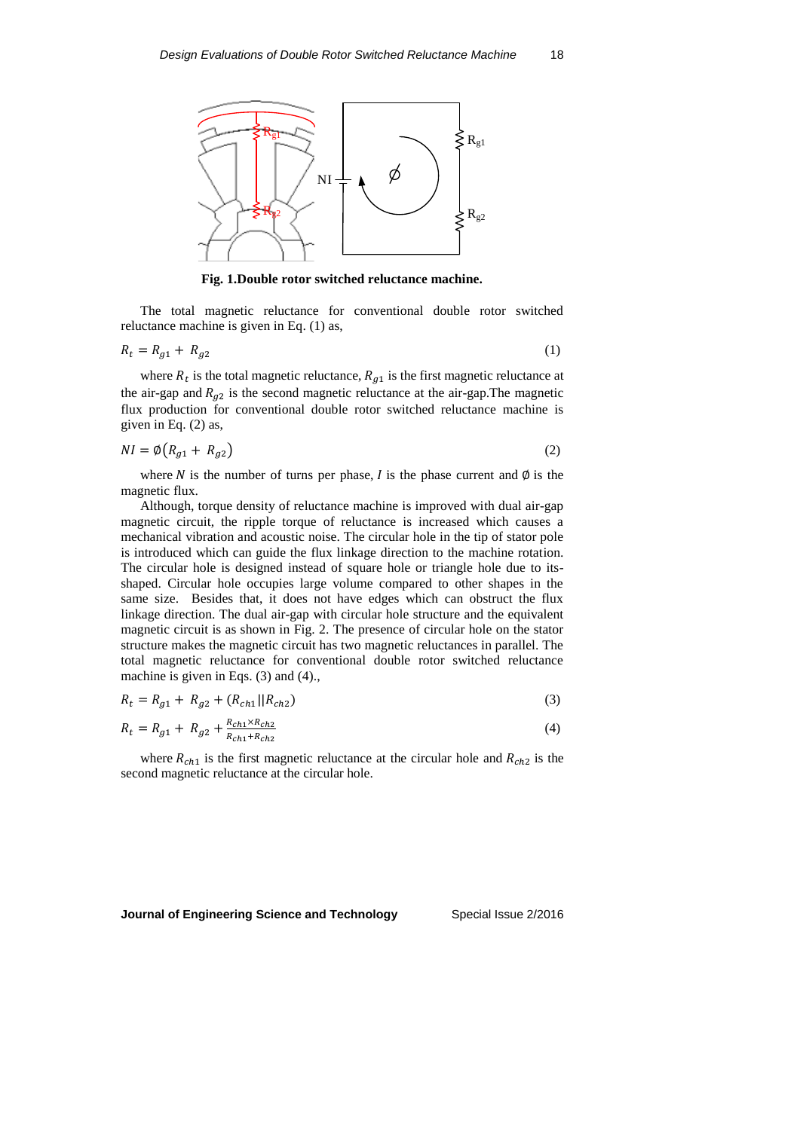

**Fig. 1.Double rotor switched reluctance machine.**

The total magnetic reluctance for conventional double rotor switched reluctance machine is given in Eq. (1) as,

$$
R_t = R_{g1} + R_{g2} \tag{1}
$$

where  $R_t$  is the total magnetic reluctance,  $R_{g1}$  is the first magnetic reluctance at the air-gap and  $R_{g2}$  is the second magnetic reluctance at the air-gap. The magnetic flux production for conventional double rotor switched reluctance machine is given in Eq. (2) as,

$$
NI = \emptyset (R_{g1} + R_{g2})
$$
\n<sup>(2)</sup>

where N is the number of turns per phase, I is the phase current and  $\emptyset$  is the magnetic flux.

Although, torque density of reluctance machine is improved with dual air-gap magnetic circuit, the ripple torque of reluctance is increased which causes a mechanical vibration and acoustic noise. The circular hole in the tip of stator pole is introduced which can guide the flux linkage direction to the machine rotation. The circular hole is designed instead of square hole or triangle hole due to itsshaped. Circular hole occupies large volume compared to other shapes in the same size. Besides that, it does not have edges which can obstruct the flux linkage direction. The dual air-gap with circular hole structure and the equivalent magnetic circuit is as shown in Fig. 2. The presence of circular hole on the stator structure makes the magnetic circuit has two magnetic reluctances in parallel. The total magnetic reluctance for conventional double rotor switched reluctance machine is given in Eqs. (3) and (4).,

$$
R_t = R_{g1} + R_{g2} + (R_{ch1}||R_{ch2})
$$
\n(3)

$$
R_t = R_{g1} + R_{g2} + \frac{R_{ch1} \times R_{ch2}}{R_{ch1} + R_{ch2}} \tag{4}
$$

where  $R_{ch1}$  is the first magnetic reluctance at the circular hole and  $R_{ch2}$  is the second magnetic reluctance at the circular hole.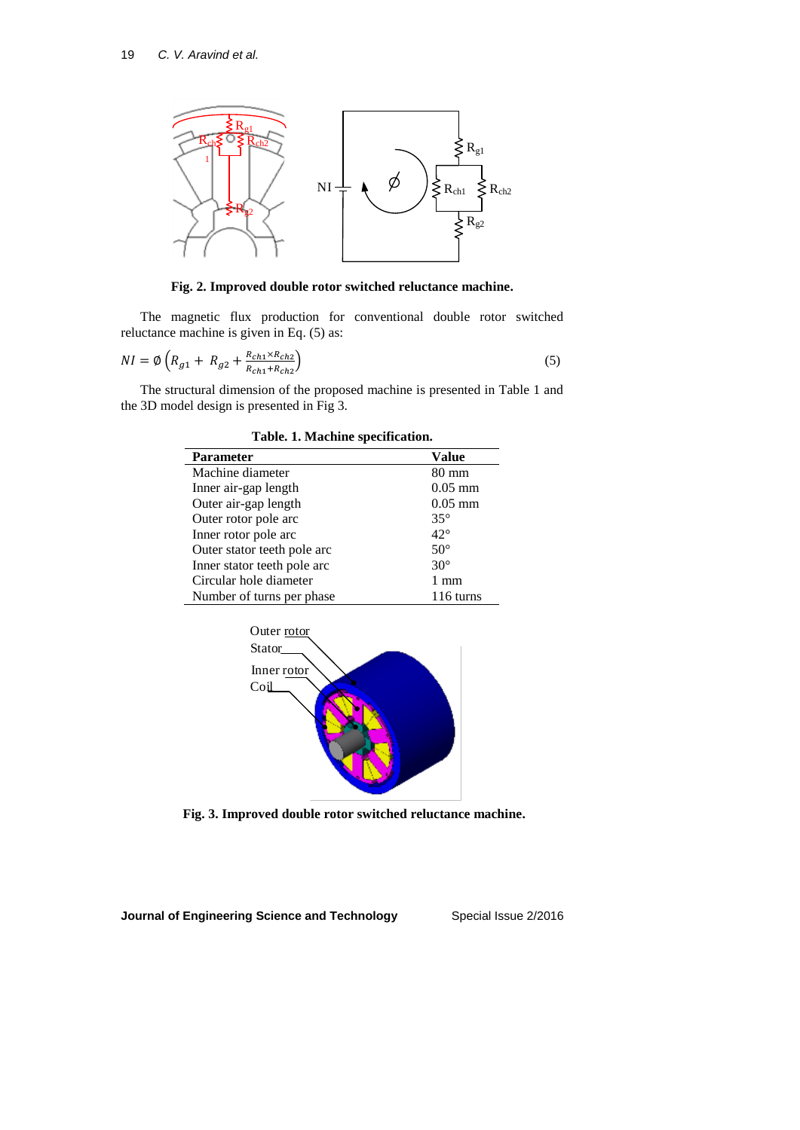

**Fig. 2. Improved double rotor switched reluctance machine.**

The magnetic flux production for conventional double rotor switched reluctance machine is given in Eq. (5) as:

$$
NI = \emptyset \left( R_{g1} + R_{g2} + \frac{R_{ch1} \times R_{ch2}}{R_{ch1} + R_{ch2}} \right) \tag{5}
$$

The structural dimension of the proposed machine is presented in Table 1 and the 3D model design is presented in Fig 3.

| <b>Parameter</b>            | Value        |
|-----------------------------|--------------|
| Machine diameter            | 80 mm        |
| Inner air-gap length        | $0.05$ mm    |
| Outer air-gap length        | $0.05$ mm    |
| Outer rotor pole arc        | $35^\circ$   |
| Inner rotor pole arc        | $42^{\circ}$ |
| Outer stator teeth pole arc | $50^\circ$   |
| Inner stator teeth pole arc | $30^{\circ}$ |
| Circular hole diameter      | 1 mm         |
| Number of turns per phase   | 116 turns    |

**Table. 1. Machine specification.**



**Fig. 3. Improved double rotor switched reluctance machine.**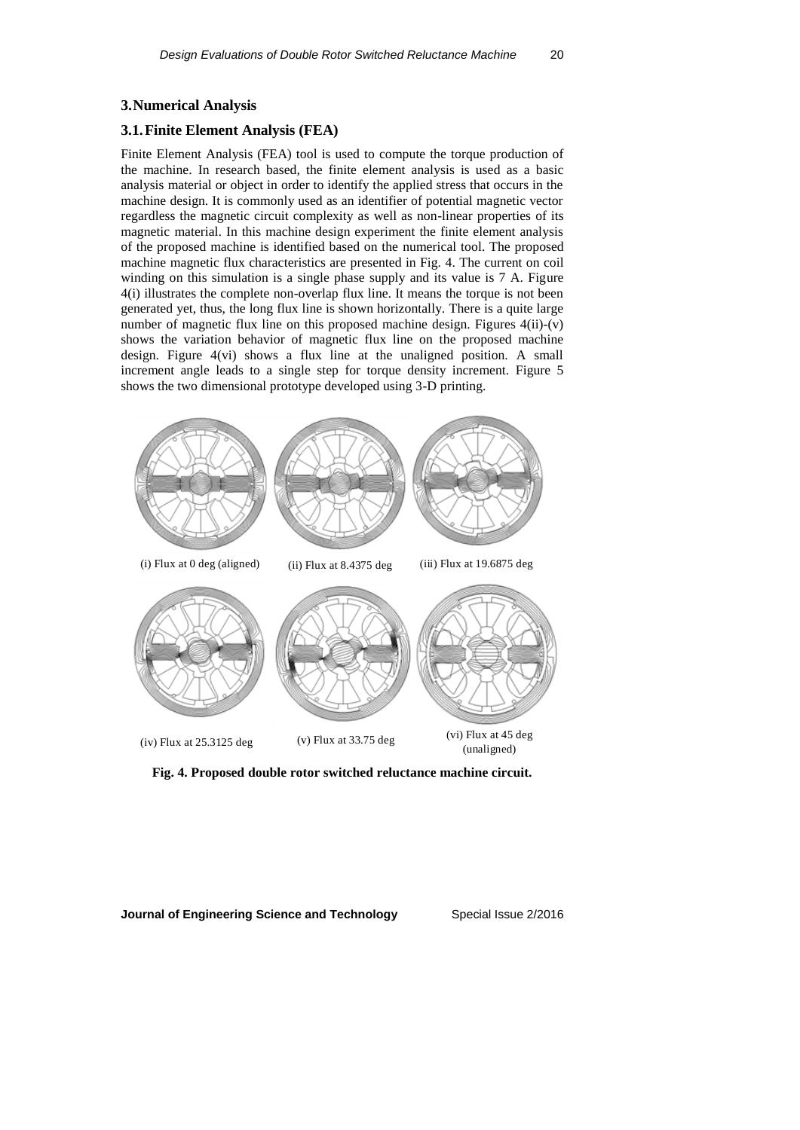#### **3.Numerical Analysis**

#### **3.1.Finite Element Analysis (FEA)**

Finite Element Analysis (FEA) tool is used to compute the torque production of the machine. In research based, the finite element analysis is used as a basic analysis material or object in order to identify the applied stress that occurs in the machine design. It is commonly used as an identifier of potential magnetic vector regardless the magnetic circuit complexity as well as non-linear properties of its magnetic material. In this machine design experiment the finite element analysis of the proposed machine is identified based on the numerical tool. The proposed machine magnetic flux characteristics are presented in Fig. 4. The current on coil winding on this simulation is a single phase supply and its value is 7 A. Figure 4(i) illustrates the complete non-overlap flux line. It means the torque is not been generated yet, thus, the long flux line is shown horizontally. There is a quite large number of magnetic flux line on this proposed machine design. Figures  $4(ii)-(v)$ shows the variation behavior of magnetic flux line on the proposed machine design. Figure 4(vi) shows a flux line at the unaligned position. A small increment angle leads to a single step for torque density increment. Figure 5 shows the two dimensional prototype developed using 3-D printing.



**Fig. 4. Proposed double rotor switched reluctance machine circuit.**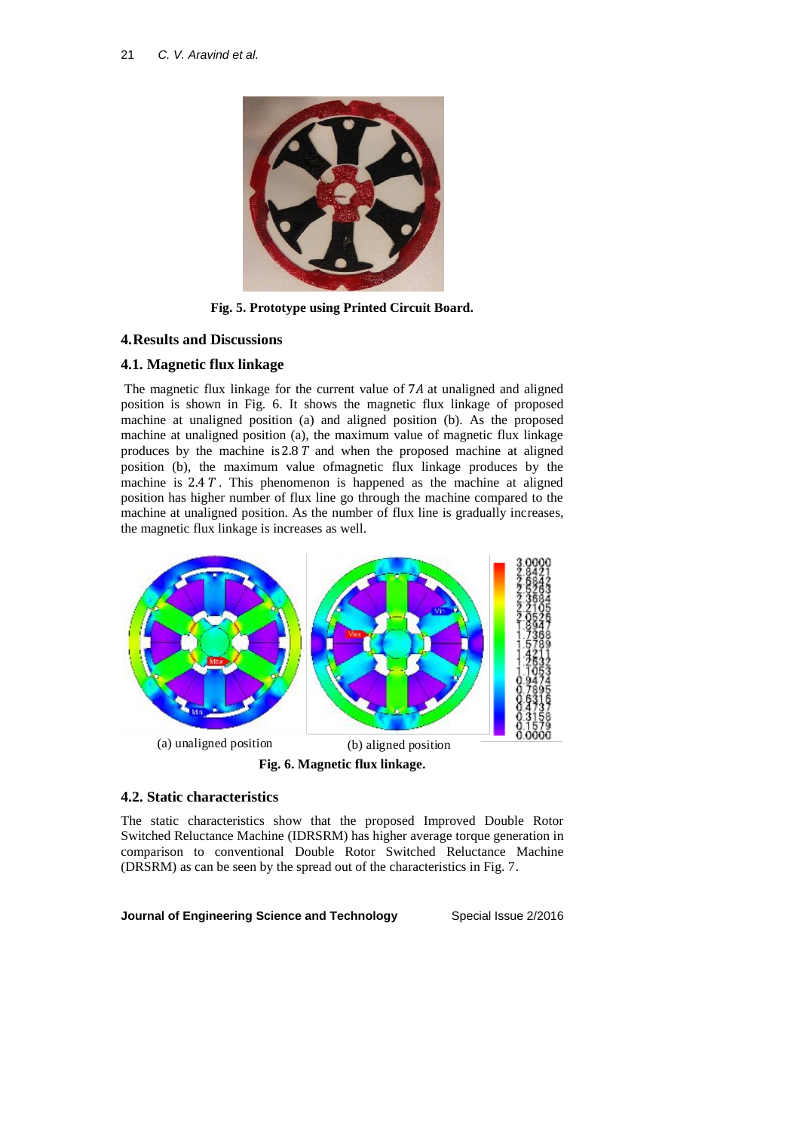

**Fig. 5. Prototype using Printed Circuit Board.**

## **4.Results and Discussions**

## **4.1. Magnetic flux linkage**

The magnetic flux linkage for the current value of 7A at unaligned and aligned position is shown in Fig. 6. It shows the magnetic flux linkage of proposed machine at unaligned position (a) and aligned position (b). As the proposed machine at unaligned position (a), the maximum value of magnetic flux linkage produces by the machine is  $2.8 T$  and when the proposed machine at aligned position (b), the maximum value ofmagnetic flux linkage produces by the machine is  $2.4 T$ . This phenomenon is happened as the machine at aligned position has higher number of flux line go through the machine compared to the machine at unaligned position. As the number of flux line is gradually increases, the magnetic flux linkage is increases as well.



#### **4.2. Static characteristics**

The static characteristics show that the proposed Improved Double Rotor Switched Reluctance Machine (IDRSRM) has higher average torque generation in comparison to conventional Double Rotor Switched Reluctance Machine (DRSRM) as can be seen by the spread out of the characteristics in Fig. 7.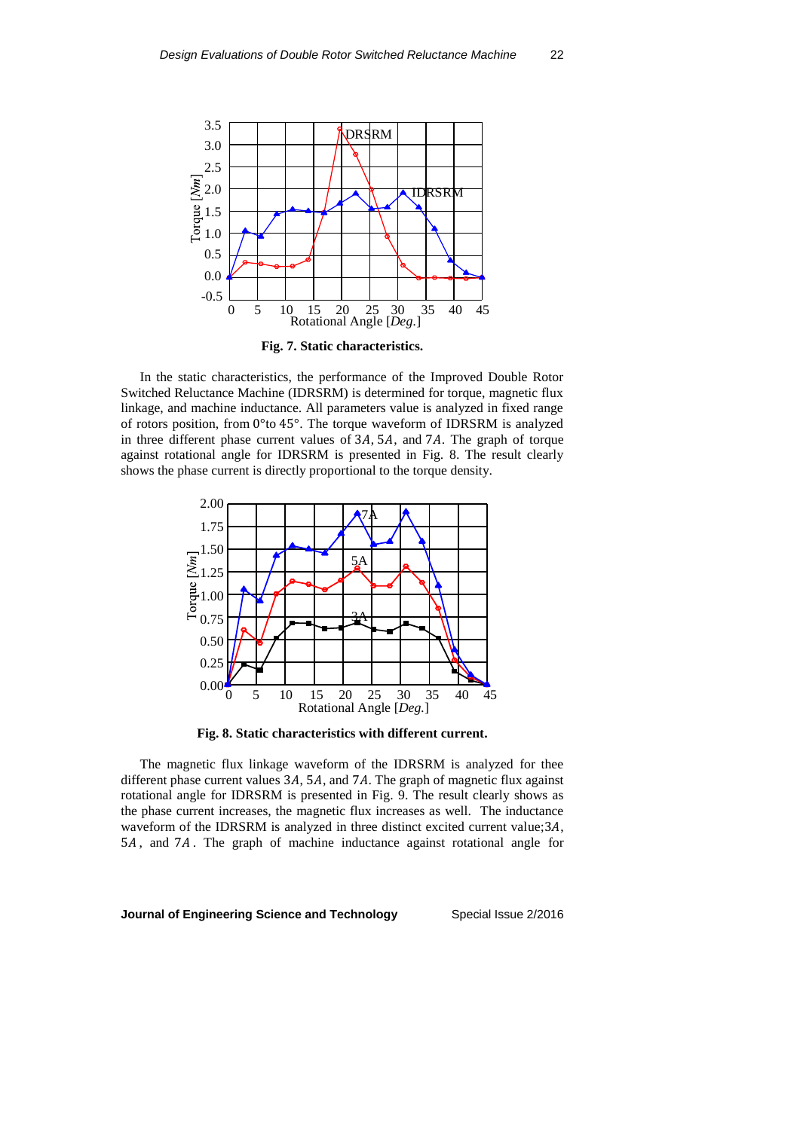

**Fig. 7. Static characteristics.**

In the static characteristics, the performance of the Improved Double Rotor Switched Reluctance Machine (IDRSRM) is determined for torque, magnetic flux linkage, and machine inductance. All parameters value is analyzed in fixed range of rotors position, from 0°to 45°. The torque waveform of IDRSRM is analyzed in three different phase current values of  $3A$ ,  $5A$ , and  $7A$ . The graph of torque against rotational angle for IDRSRM is presented in Fig. 8. The result clearly shows the phase current is directly proportional to the torque density.



**Fig. 8. Static characteristics with different current.**

The magnetic flux linkage waveform of the IDRSRM is analyzed for thee different phase current values  $3A$ ,  $5A$ , and  $7A$ . The graph of magnetic flux against rotational angle for IDRSRM is presented in Fig. 9. The result clearly shows as the phase current increases, the magnetic flux increases as well. The inductance waveform of the IDRSRM is analyzed in three distinct excited current value;  $3A$ , 5A, and 7A. The graph of machine inductance against rotational angle for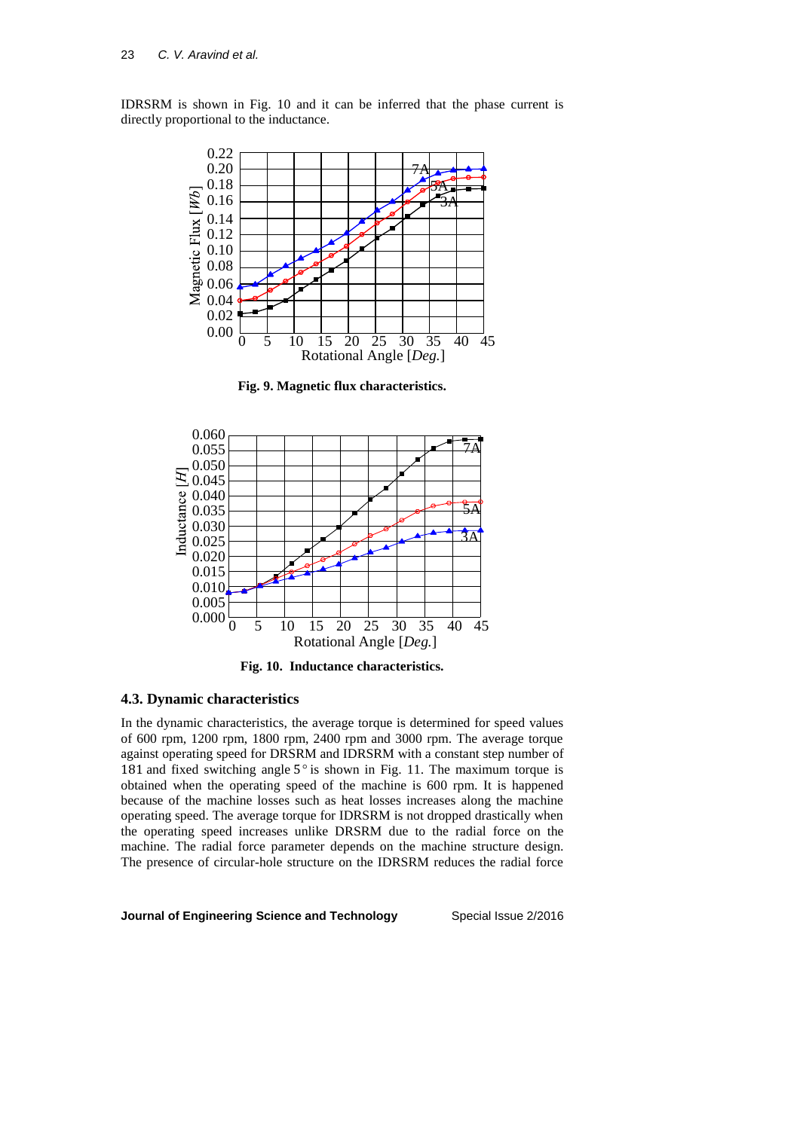IDRSRM is shown in Fig. 10 and it can be inferred that the phase current is directly proportional to the inductance.



**Fig. 9. Magnetic flux characteristics.**



**Fig. 10. Inductance characteristics.**

#### **4.3. Dynamic characteristics**

In the dynamic characteristics, the average torque is determined for speed values of 600 rpm, 1200 rpm, 1800 rpm, 2400 rpm and 3000 rpm. The average torque against operating speed for DRSRM and IDRSRM with a constant step number of 181 and fixed switching angle 5*°* is shown in Fig. 11. The maximum torque is obtained when the operating speed of the machine is 600 rpm. It is happened because of the machine losses such as heat losses increases along the machine operating speed. The average torque for IDRSRM is not dropped drastically when the operating speed increases unlike DRSRM due to the radial force on the machine. The radial force parameter depends on the machine structure design. The presence of circular-hole structure on the IDRSRM reduces the radial force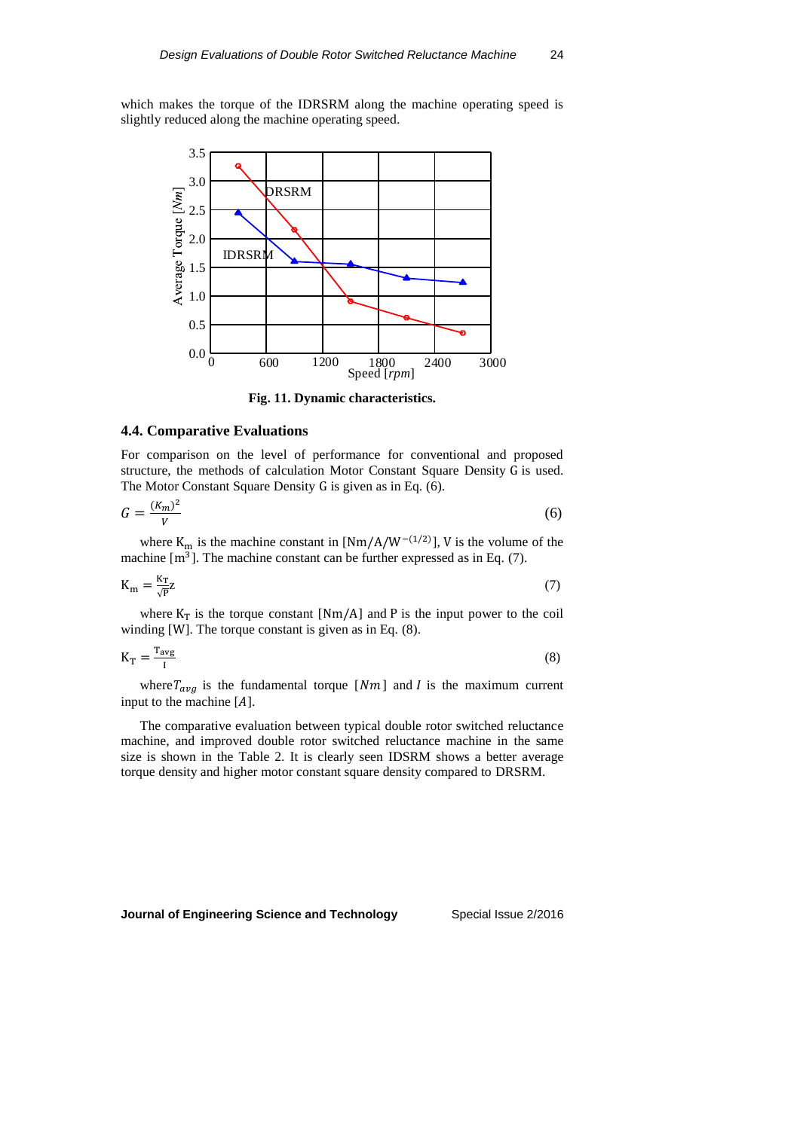which makes the torque of the IDRSRM along the machine operating speed is slightly reduced along the machine operating speed.



**Fig. 11. Dynamic characteristics.**

#### **4.4. Comparative Evaluations**

For comparison on the level of performance for conventional and proposed structure, the methods of calculation Motor Constant Square Density G is used. The Motor Constant Square Density G is given as in Eq. (6).

$$
G = \frac{(K_m)^2}{V} \tag{6}
$$

where  $K_m$  is the machine constant in [Nm/A/W<sup>-(1/2)</sup>], V is the volume of the machine  $[m<sup>3</sup>]$ . The machine constant can be further expressed as in Eq. (7).

$$
K_{\rm m} = \frac{K_{\rm T}}{\sqrt{p}} Z \tag{7}
$$

where  $K_T$  is the torque constant [Nm/A] and P is the input power to the coil winding [W]. The torque constant is given as in Eq. (8).

$$
K_T = \frac{T_{avg}}{I} \tag{8}
$$

where  $T_{avg}$  is the fundamental torque [Nm] and *I* is the maximum current input to the machine  $[A]$ .

The comparative evaluation between typical double rotor switched reluctance machine, and improved double rotor switched reluctance machine in the same size is shown in the Table 2. It is clearly seen IDSRM shows a better average torque density and higher motor constant square density compared to DRSRM.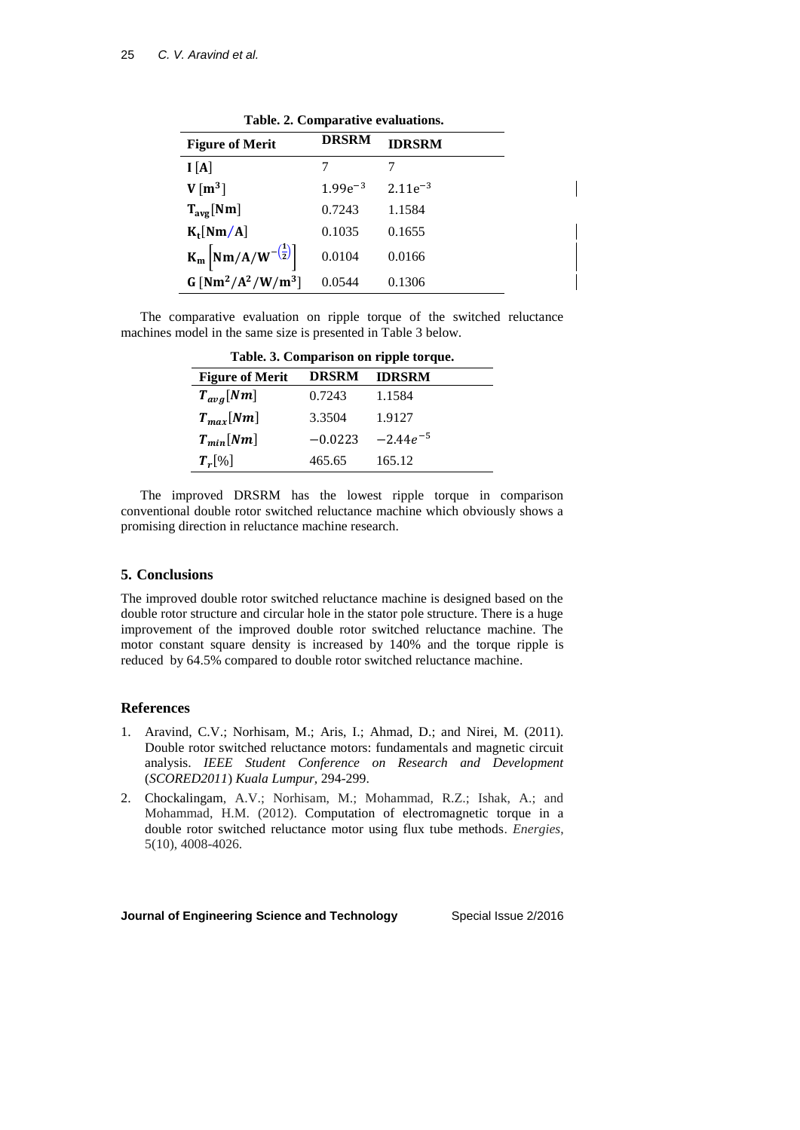| Table. 2. Comparative evaluations.                      |              |               |  |
|---------------------------------------------------------|--------------|---------------|--|
| <b>Figure of Merit</b>                                  | <b>DRSRM</b> | <b>IDRSRM</b> |  |
| I[A]                                                    |              |               |  |
| $V[m^3]$                                                | $1.99e^{-3}$ | $2.11e^{-3}$  |  |
| $T_{avg}$ [Nm]                                          | 0.7243       | 1.1584        |  |
| $K_t$ [Nm/A]                                            | 0.1035       | 0.1655        |  |
| $K_m \left[ Nm/A/W^{-\left(\frac{1}{2}\right)} \right]$ | 0.0104       | 0.0166        |  |
| $G[Nm^2/A^2/W/m^3]$                                     | 0.0544       | 0.1306        |  |

Table 2. Comparative evaluati

The comparative evaluation on ripple torque of the switched reluctance machines model in the same size is presented in Table 3 below.

| Table. 3. Comparison on ripple torque. |              |               |  |
|----------------------------------------|--------------|---------------|--|
| <b>Figure of Merit</b>                 | <b>DRSRM</b> | <b>IDRSRM</b> |  |
| $T_{avg}[Nm]$                          | 0.7243       | 1.1584        |  |
| $T_{max}[Nm]$                          | 3.3504       | 1.9127        |  |
| $T_{min}[Nm]$                          | $-0.0223$    | $-2.44e^{-5}$ |  |
| $T_r[\%]$                              | 465.65       | 165.12        |  |

The improved DRSRM has the lowest ripple torque in comparison conventional double rotor switched reluctance machine which obviously shows a promising direction in reluctance machine research.

#### **5. Conclusions**

The improved double rotor switched reluctance machine is designed based on the double rotor structure and circular hole in the stator pole structure. There is a huge improvement of the improved double rotor switched reluctance machine. The motor constant square density is increased by 140% and the torque ripple is reduced by 64.5% compared to double rotor switched reluctance machine.

#### **References**

- 1. Aravind, C.V.; Norhisam, M.; Aris, I.; Ahmad, D.; and Nirei, M. (2011). Double rotor switched reluctance motors: fundamentals and magnetic circuit analysis. *IEEE Student Conference on Research and Development*  (*SCORED2011*) *Kuala Lumpur,* 294-299.
- 2. Chockalingam, A.V.; Norhisam, M.; Mohammad, R.Z.; Ishak, A.; and Mohammad, H.M. (2012). [Computation of electromagnetic torque in a](http://www.mdpi.com/1996-1073/5/10/4008)  [double rotor switched reluctance motor using flux tube methods.](http://www.mdpi.com/1996-1073/5/10/4008) *Energies*, 5(10), 4008-4026.